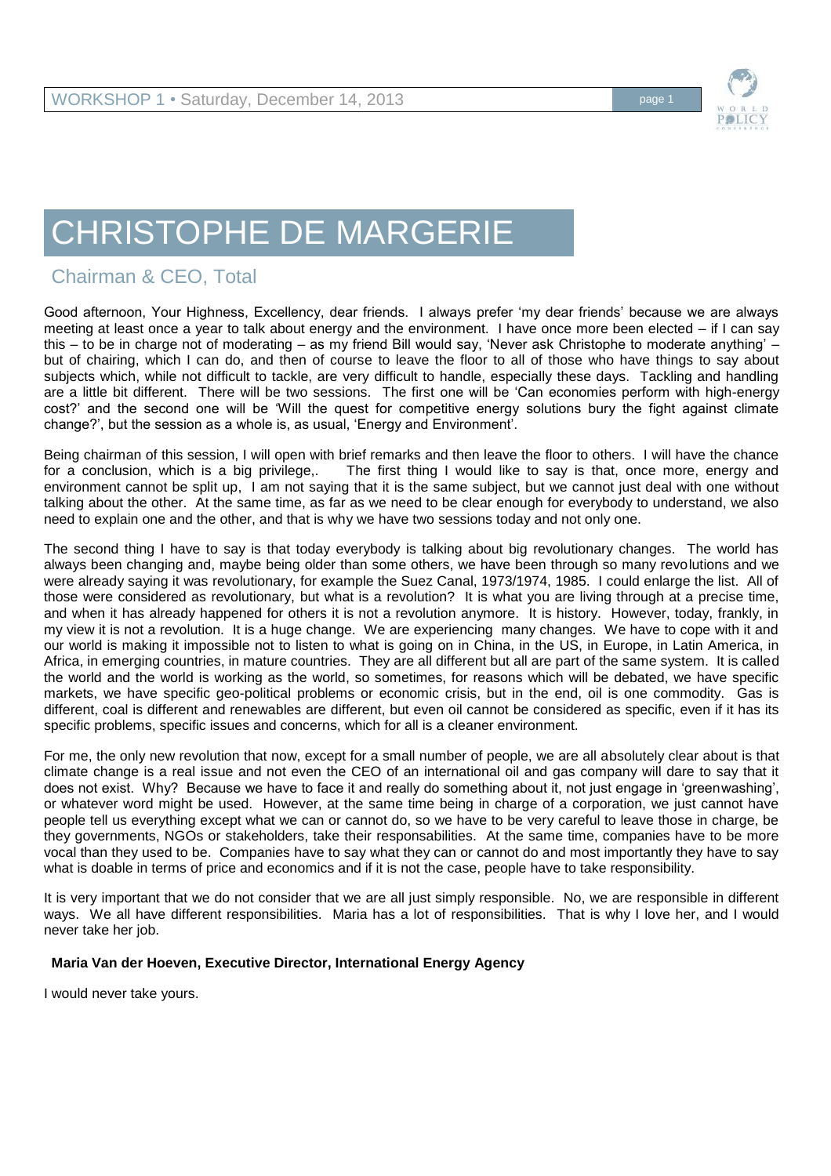

## CHRISTOPHE DE MARGERIE

## Chairman & CEO, Total

Good afternoon, Your Highness, Excellency, dear friends. I always prefer 'my dear friends' because we are always meeting at least once a year to talk about energy and the environment. I have once more been elected – if I can say this – to be in charge not of moderating – as my friend Bill would say, 'Never ask Christophe to moderate anything' – but of chairing, which I can do, and then of course to leave the floor to all of those who have things to say about subjects which, while not difficult to tackle, are very difficult to handle, especially these days. Tackling and handling are a little bit different. There will be two sessions. The first one will be 'Can economies perform with high-energy cost?' and the second one will be 'Will the quest for competitive energy solutions bury the fight against climate change?', but the session as a whole is, as usual, 'Energy and Environment'.

Being chairman of this session, I will open with brief remarks and then leave the floor to others. I will have the chance<br>for a conclusion, which is a big privilege.. The first thing I would like to say is that, once more, The first thing I would like to say is that, once more, energy and environment cannot be split up, I am not saying that it is the same subject, but we cannot just deal with one without talking about the other. At the same time, as far as we need to be clear enough for everybody to understand, we also need to explain one and the other, and that is why we have two sessions today and not only one.

The second thing I have to say is that today everybody is talking about big revolutionary changes. The world has always been changing and, maybe being older than some others, we have been through so many revolutions and we were already saying it was revolutionary, for example the Suez Canal, 1973/1974, 1985. I could enlarge the list. All of those were considered as revolutionary, but what is a revolution? It is what you are living through at a precise time, and when it has already happened for others it is not a revolution anymore. It is history. However, today, frankly, in my view it is not a revolution. It is a huge change. We are experiencing many changes. We have to cope with it and our world is making it impossible not to listen to what is going on in China, in the US, in Europe, in Latin America, in Africa, in emerging countries, in mature countries. They are all different but all are part of the same system. It is called the world and the world is working as the world, so sometimes, for reasons which will be debated, we have specific markets, we have specific geo-political problems or economic crisis, but in the end, oil is one commodity. Gas is different, coal is different and renewables are different, but even oil cannot be considered as specific, even if it has its specific problems, specific issues and concerns, which for all is a cleaner environment.

For me, the only new revolution that now, except for a small number of people, we are all absolutely clear about is that climate change is a real issue and not even the CEO of an international oil and gas company will dare to say that it does not exist. Why? Because we have to face it and really do something about it, not just engage in 'greenwashing', or whatever word might be used. However, at the same time being in charge of a corporation, we just cannot have people tell us everything except what we can or cannot do, so we have to be very careful to leave those in charge, be they governments, NGOs or stakeholders, take their responsabilities. At the same time, companies have to be more vocal than they used to be. Companies have to say what they can or cannot do and most importantly they have to say what is doable in terms of price and economics and if it is not the case, people have to take responsibility.

It is very important that we do not consider that we are all just simply responsible. No, we are responsible in different ways. We all have different responsibilities. Maria has a lot of responsibilities. That is why I love her, and I would never take her job.

## **Maria Van der Hoeven, Executive Director, International Energy Agency**

I would never take yours.